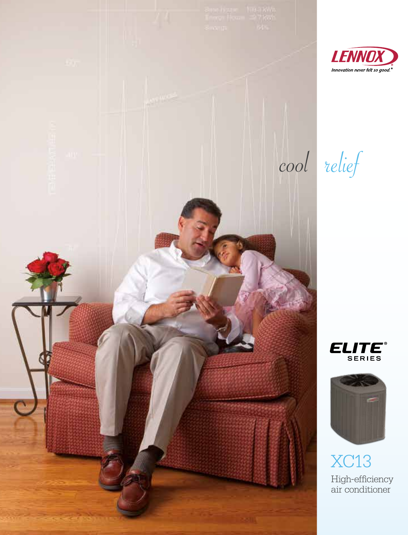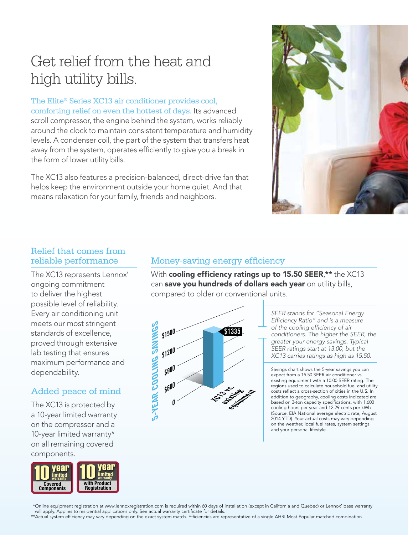# Get relief from the heat and high utility bills.

The Elite® Series XC13 air conditioner provides cool, comforting relief on even the hottest of days. Its advanced scroll compressor, the engine behind the system, works reliably around the clock to maintain consistent temperature and humidity levels. A condenser coil, the part of the system that transfers heat away from the system, operates efficiently to give you a break in the form of lower utility bills.

The XC13 also features a precision-balanced, direct-drive fan that helps keep the environment outside your home quiet. And that means relaxation for your family, friends and neighbors.



#### Relief that comes from reliable performance

The XC13 represents Lennox' ongoing commitment to deliver the highest possible level of reliability. Every air conditioning unit meets our most stringent standards of excellence, proved through extensive lab testing that ensures maximum performance and dependability.

## Added peace of mind

The XC13 is protected by a 10-year limited warranty on the compressor and a 10-year limited warranty\* on all remaining covered components.



### Money-saving energy efficiency

With cooling efficiency ratings up to 15.50 SEER,\*\* the XC13 can save you hundreds of dollars each year on utility bills, compared to older or conventional units.



*SEER stands for "Seasonal Energy Efficiency Ratio" and is a measure of the cooling efficiency of air conditioners. The higher the SEER, the greater your energy savings. Typical SEER ratings start at 13.00, but the XC13 carries ratings as high as 15.50.* 

Savings chart shows the 5-year savings you can expect from a 15.50 SEER air conditioner vs. existing equipment with a 10.00 SEER rating. The regions used to calculate household fuel and utility costs reflect a cross-section of cities in the U.S. In addition to geography, cooling costs indicated are based on 3-ton capacity specifications, with 1,600 cooling hours per year and 12.29 cents per kWh (Source: EIA National average electric rate, August 2014 YTD). Your actual costs may vary depending on the weather, local fuel rates, system settings and your personal lifestyle.

\*Online equipment registration at www.lennoxregistration.com is required within 60 days of installation (except in California and Quebec) or Lennox' base warranty will apply. Applies to residential applications only. See actual warranty certificate for details

\*\*Actual system efficiency may vary depending on the exact system match. Efficiencies are representative of a single AHRI Most Popular matched combination.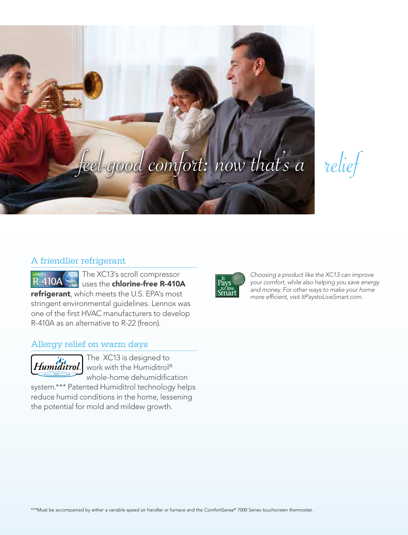

relief

#### A friendlier refrigerant

The XC13's scroll compressor **R-410A** uses the chlorine-free R-410A refrigerant, which meets the U.S. EPA's most stringent environmental guidelines. Lennox was one of the first HVAC manufacturers to develop R-410A as an alternative to R-22 (freon).

#### Allergy relief on warm days



The XC13 is designed to  $\left| Humiditrol \right| \stackrel{\text{Ine}}{\text{work with the Humiditrol}^{\circ}}$ whole-home dehumidification

system.\*\*\* Patented Humiditrol technology helps reduce humid conditions in the home, lessening the potential for mold and mildew growth.



*Choosing a product like the XC13 can improve your comfort, while also helping you save energy and money. For other ways to make your home more efficient, visit ItPaystoLiveSmart.com.*